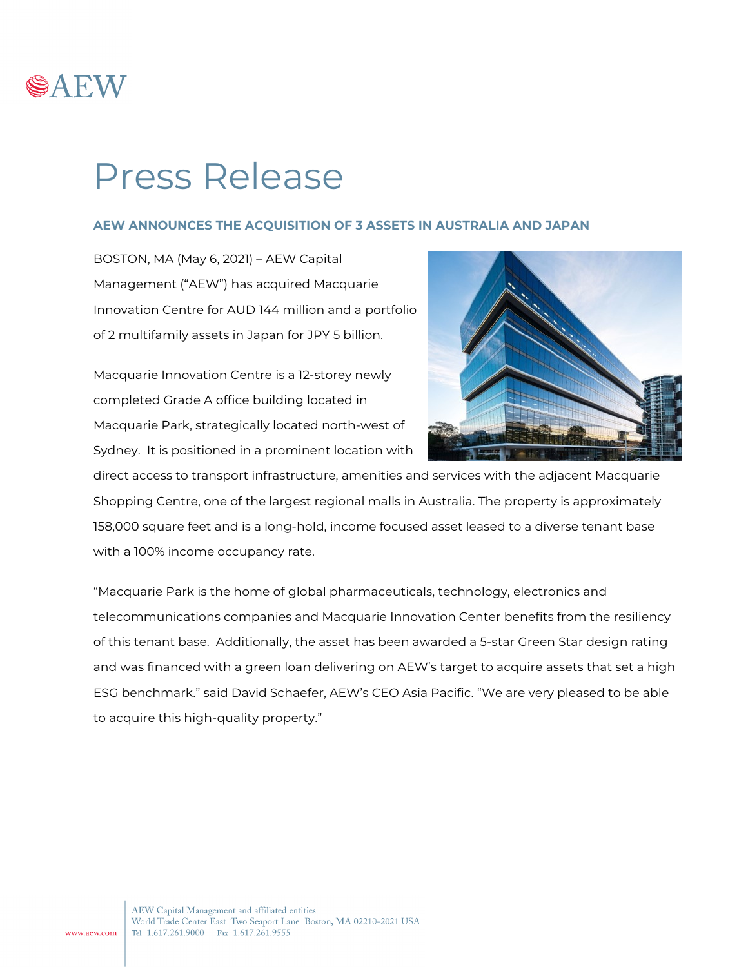

## Press Release

## **AEW ANNOUNCES THE ACQUISITION OF 3 ASSETS IN AUSTRALIA AND JAPAN**

BOSTON, MA (May 6, 2021) – AEW Capital Management ("AEW") has acquired Macquarie Innovation Centre for AUD 144 million and a portfolio of 2 multifamily assets in Japan for JPY 5 billion.

Macquarie Innovation Centre is a 12-storey newly completed Grade A office building located in Macquarie Park, strategically located north-west of Sydney. It is positioned in a prominent location with



direct access to transport infrastructure, amenities and services with the adjacent Macquarie Shopping Centre, one of the largest regional malls in Australia. The property is approximately 158,000 square feet and is a long-hold, income focused asset leased to a diverse tenant base with a 100% income occupancy rate.

"Macquarie Park is the home of global pharmaceuticals, technology, electronics and telecommunications companies and Macquarie Innovation Center benefits from the resiliency of this tenant base. Additionally, the asset has been awarded a 5-star Green Star design rating and was financed with a green loan delivering on AEW's target to acquire assets that set a high ESG benchmark." said David Schaefer, AEW's CEO Asia Pacific. "We are very pleased to be able to acquire this high-quality property."